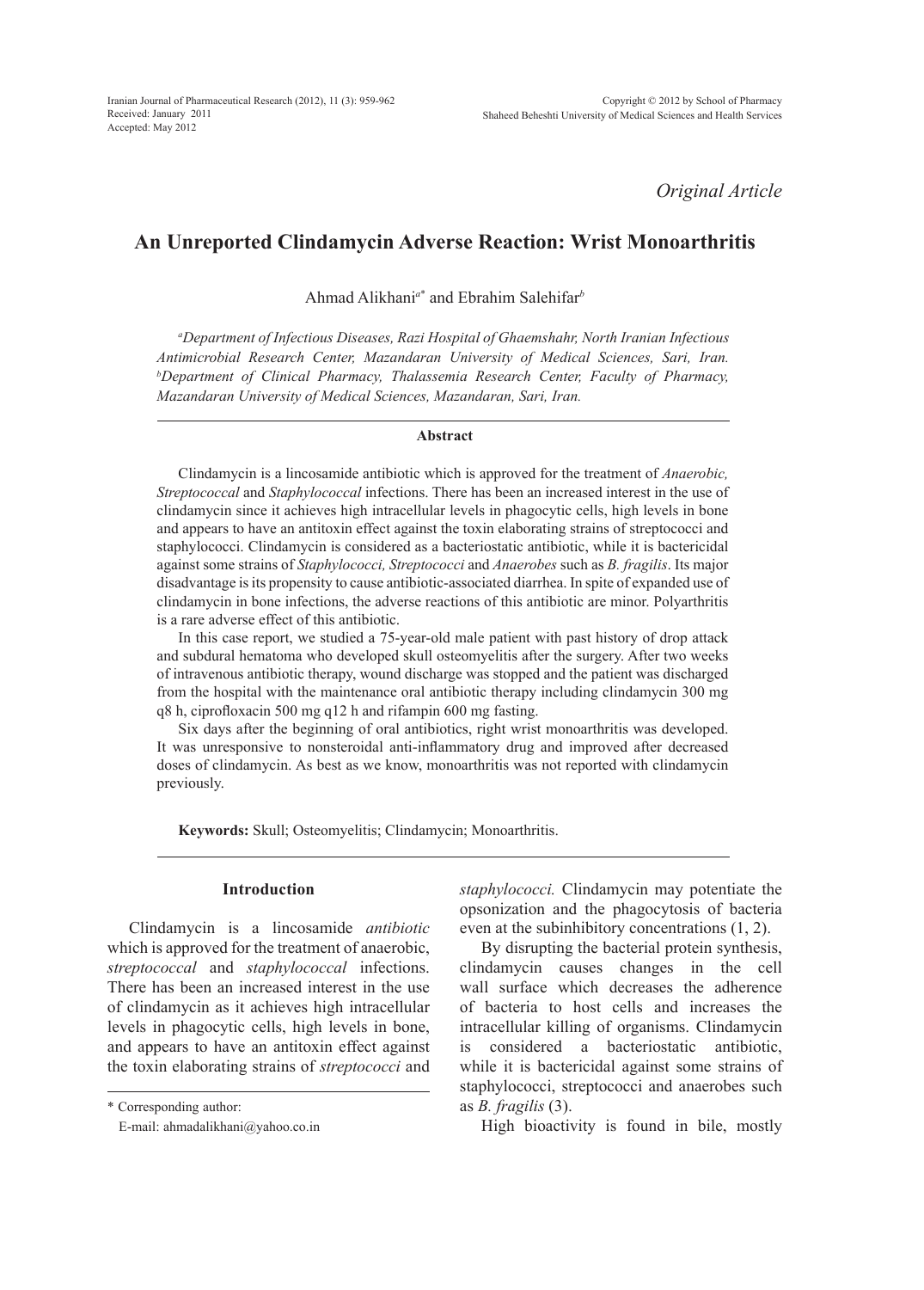*Original Article*

# **An Unreported Clindamycin Adverse Reaction: Wrist Monoarthritis**

Ahmad Alikhani*<sup>a</sup>*\* and Ebrahim Salehifar*<sup>b</sup>*

*a Department of Infectious Diseases, Razi Hospital of Ghaemshahr, North Iranian Infectious Antimicrobial Research Center, Mazandaran University of Medical Sciences, Sari, Iran. b Department of Clinical Pharmacy, Thalassemia Research Center, Faculty of Pharmacy, Mazandaran University of Medical Sciences, Mazandaran, Sari, Iran.*

### **Abstract**

Clindamycin is a lincosamide antibiotic which is approved for the treatment of *Anaerobic, Streptococcal* and *Staphylococcal* infections. There has been an increased interest in the use of clindamycin since it achieves high intracellular levels in phagocytic cells, high levels in bone and appears to have an antitoxin effect against the toxin elaborating strains of streptococci and staphylococci. Clindamycin is considered as a bacteriostatic antibiotic, while it is bactericidal against some strains of *Staphylococci, Streptococci* and *Anaerobes* such as *B. fragilis*. Its major disadvantage is its propensity to cause antibiotic-associated diarrhea. In spite of expanded use of clindamycin in bone infections, the adverse reactions of this antibiotic are minor. Polyarthritis is a rare adverse effect of this antibiotic.

In this case report, we studied a 75-year-old male patient with past history of drop attack and subdural hematoma who developed skull osteomyelitis after the surgery. After two weeks of intravenous antibiotic therapy, wound discharge was stopped and the patient was discharged from the hospital with the maintenance oral antibiotic therapy including clindamycin 300 mg q8 h, ciprofloxacin 500 mg q12 h and rifampin 600 mg fasting.

Six days after the beginning of oral antibiotics, right wrist monoarthritis was developed. It was unresponsive to nonsteroidal anti-inflammatory drug and improved after decreased doses of clindamycin. As best as we know, monoarthritis was not reported with clindamycin previously.

**Keywords:** Skull; Osteomyelitis; Clindamycin; Monoarthritis.

### **Introduction**

Clindamycin is a lincosamide *antibiotic* which is approved for the treatment of anaerobic, *streptococcal* and *staphylococcal* infections. There has been an increased interest in the use of clindamycin as it achieves high intracellular levels in phagocytic cells, high levels in bone, and appears to have an antitoxin effect against the toxin elaborating strains of *streptococci* and

\* Corresponding author:

*staphylococci.* Clindamycin may potentiate the opsonization and the phagocytosis of bacteria even at the subinhibitory concentrations (1, 2).

By disrupting the bacterial protein synthesis, clindamycin causes changes in the cell wall surface which decreases the adherence of bacteria to host cells and increases the intracellular killing of organisms. Clindamycin is considered a bacteriostatic antibiotic, while it is bactericidal against some strains of staphylococci, streptococci and anaerobes such as *B. fragilis* (3).

High bioactivity is found in bile, mostly

E-mail: ahmadalikhani@yahoo.co.in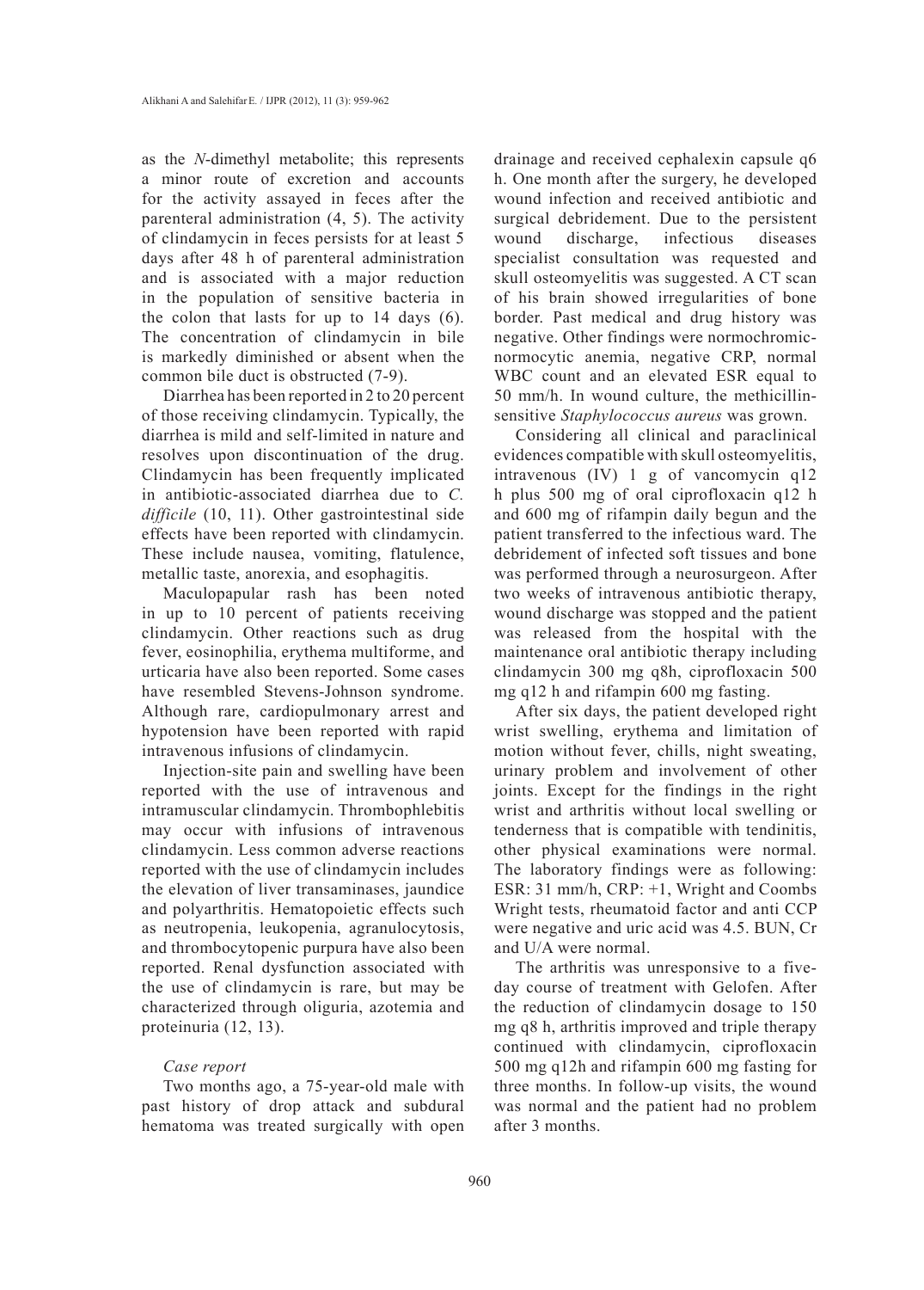as the *N*-dimethyl metabolite; this represents a minor route of excretion and accounts for the activity assayed in feces after the parenteral administration (4, 5). The activity of clindamycin in feces persists for at least 5 days after 48 h of parenteral administration and is associated with a major reduction in the population of sensitive bacteria in the colon that lasts for up to 14 days (6). The concentration of clindamycin in bile is markedly diminished or absent when the common bile duct is obstructed (7-9).

Diarrhea has been reported in 2 to 20 percent of those receiving clindamycin. Typically, the diarrhea is mild and self-limited in nature and resolves upon discontinuation of the drug. Clindamycin has been frequently implicated in antibiotic-associated diarrhea due to *C. difficile* (10, 11). Other gastrointestinal side effects have been reported with clindamycin. These include nausea, vomiting, flatulence, metallic taste, anorexia, and esophagitis.

Maculopapular rash has been noted in up to 10 percent of patients receiving clindamycin. Other reactions such as drug fever, eosinophilia, erythema multiforme, and urticaria have also been reported. Some cases have resembled Stevens-Johnson syndrome. Although rare, cardiopulmonary arrest and hypotension have been reported with rapid intravenous infusions of clindamycin.

Injection-site pain and swelling have been reported with the use of intravenous and intramuscular clindamycin. Thrombophlebitis may occur with infusions of intravenous clindamycin. Less common adverse reactions reported with the use of clindamycin includes the elevation of liver transaminases, jaundice and polyarthritis. Hematopoietic effects such as neutropenia, leukopenia, agranulocytosis, and thrombocytopenic purpura have also been reported. Renal dysfunction associated with the use of clindamycin is rare, but may be characterized through oliguria, azotemia and proteinuria (12, 13).

## *Case report*

Two months ago, a 75-year-old male with past history of drop attack and subdural hematoma was treated surgically with open drainage and received cephalexin capsule q6 h. One month after the surgery, he developed wound infection and received antibiotic and surgical debridement. Due to the persistent wound discharge, infectious diseases specialist consultation was requested and skull osteomyelitis was suggested. A CT scan of his brain showed irregularities of bone border. Past medical and drug history was negative. Other findings were normochromicnormocytic anemia, negative CRP, normal WBC count and an elevated ESR equal to 50 mm/h. In wound culture, the methicillinsensitive *Staphylococcus aureus* was grown.

Considering all clinical and paraclinical evidences compatible with skull osteomyelitis, intravenous (IV) 1 g of vancomycin q12 h plus 500 mg of oral ciprofloxacin q12 h and 600 mg of rifampin daily begun and the patient transferred to the infectious ward. The debridement of infected soft tissues and bone was performed through a neurosurgeon. After two weeks of intravenous antibiotic therapy, wound discharge was stopped and the patient was released from the hospital with the maintenance oral antibiotic therapy including clindamycin 300 mg q8h, ciprofloxacin 500 mg q12 h and rifampin 600 mg fasting.

After six days, the patient developed right wrist swelling, erythema and limitation of motion without fever, chills, night sweating, urinary problem and involvement of other joints. Except for the findings in the right wrist and arthritis without local swelling or tenderness that is compatible with tendinitis, other physical examinations were normal. The laboratory findings were as following: ESR: 31 mm/h, CRP: +1, Wright and Coombs Wright tests, rheumatoid factor and anti CCP were negative and uric acid was 4.5. BUN, Cr and U/A were normal.

The arthritis was unresponsive to a fiveday course of treatment with Gelofen. After the reduction of clindamycin dosage to 150 mg q8 h, arthritis improved and triple therapy continued with clindamycin, ciprofloxacin 500 mg q12h and rifampin 600 mg fasting for three months. In follow-up visits, the wound was normal and the patient had no problem after 3 months.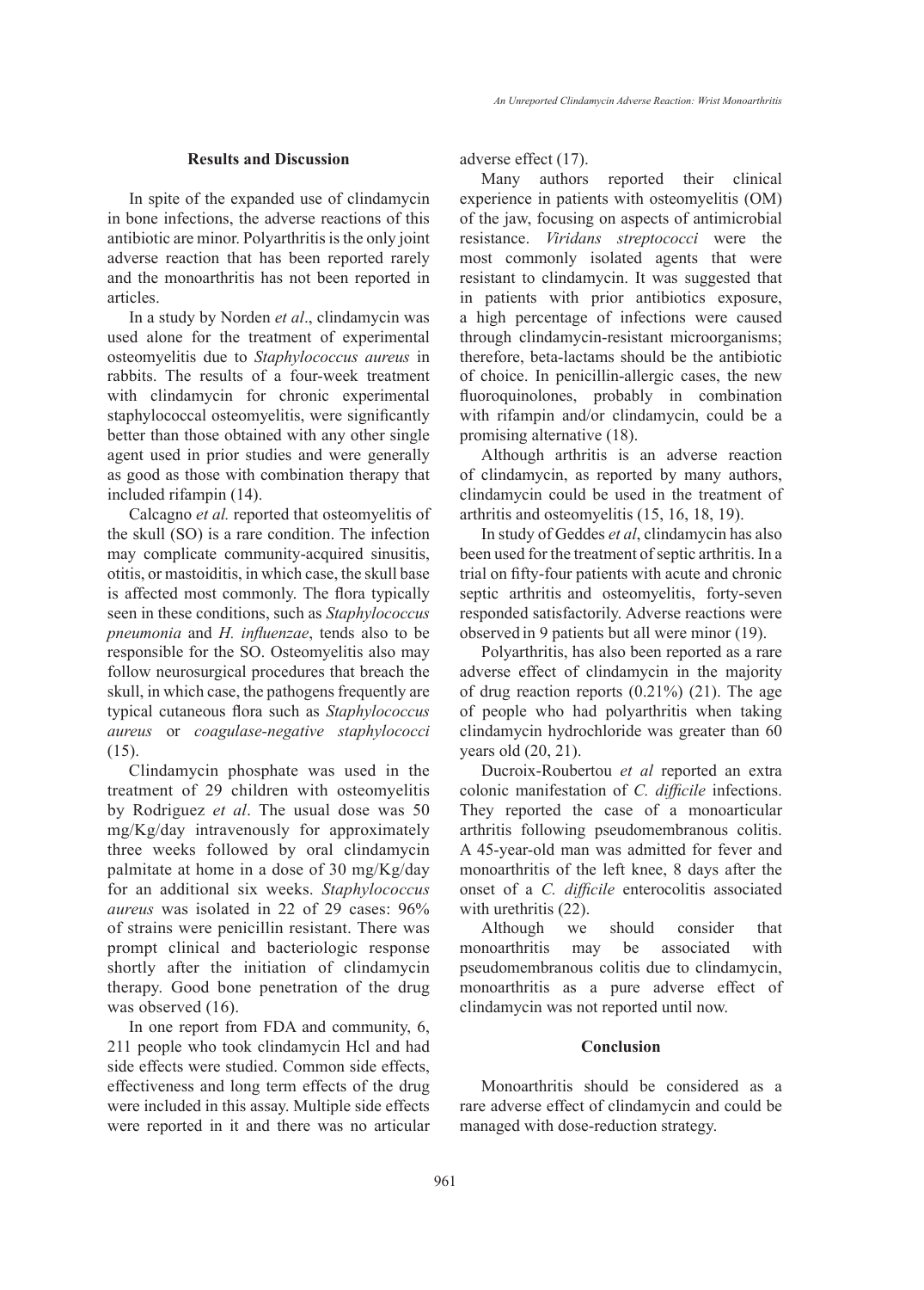# **Results and Discussion**

In spite of the expanded use of clindamycin in bone infections, the adverse reactions of this antibiotic are minor. Polyarthritis is the only joint adverse reaction that has been reported rarely and the monoarthritis has not been reported in articles.

In a study by Norden *et al*., clindamycin was used alone for the treatment of experimental osteomyelitis due to *Staphylococcus aureus* in rabbits. The results of a four-week treatment with clindamycin for chronic experimental staphylococcal osteomyelitis, were significantly better than those obtained with any other single agent used in prior studies and were generally as good as those with combination therapy that included rifampin (14).

Calcagno *et al.* reported that osteomyelitis of the skull (SO) is a rare condition. The infection may complicate community-acquired sinusitis, otitis, or mastoiditis, in which case, the skull base is affected most commonly. The flora typically seen in these conditions, such as *Staphylococcus pneumonia* and *H. influenzae*, tends also to be responsible for the SO. Osteomyelitis also may follow neurosurgical procedures that breach the skull, in which case, the pathogens frequently are typical cutaneous flora such as *Staphylococcus aureus* or *coagulase-negative staphylococci* (15).

Clindamycin phosphate was used in the treatment of 29 children with osteomyelitis by Rodriguez *et al*. The usual dose was 50 mg/Kg/day intravenously for approximately three weeks followed by oral clindamycin palmitate at home in a dose of 30 mg/Kg/day for an additional six weeks. *Staphylococcus aureus* was isolated in 22 of 29 cases: 96% of strains were penicillin resistant. There was prompt clinical and bacteriologic response shortly after the initiation of clindamycin therapy. Good bone penetration of the drug was observed  $(16)$ .

In one report from FDA and community, 6, 211 people who took clindamycin Hcl and had side effects were studied. Common side effects, effectiveness and long term effects of the drug were included in this assay. Multiple side effects were reported in it and there was no articular adverse effect (17).

Many authors reported their clinical experience in patients with osteomyelitis (OM) of the jaw, focusing on aspects of antimicrobial resistance. *Viridans streptococci* were the most commonly isolated agents that were resistant to clindamycin. It was suggested that in patients with prior antibiotics exposure, a high percentage of infections were caused through clindamycin-resistant microorganisms; therefore, beta-lactams should be the antibiotic of choice. In penicillin-allergic cases, the new fluoroquinolones, probably in combination with rifampin and/or clindamycin, could be a promising alternative (18).

Although arthritis is an adverse reaction of clindamycin, as reported by many authors, clindamycin could be used in the treatment of arthritis and osteomyelitis (15, 16, 18, 19).

In study of Geddes *et al*, clindamycin has also been used for the treatment of septic arthritis. In a trial on fifty-four patients with acute and chronic septic arthritis and osteomyelitis, forty-seven responded satisfactorily. Adverse reactions were observed in 9 patients but all were minor (19).

Polyarthritis, has also been reported as a rare adverse effect of clindamycin in the majority of drug reaction reports (0.21%) (21). The age of people who had polyarthritis when taking clindamycin hydrochloride was greater than 60 years old (20, 21).

Ducroix-Roubertou *et al* reported an extra colonic manifestation of *C. difficile* infections. They reported the case of a monoarticular arthritis following pseudomembranous colitis. A 45-year-old man was admitted for fever and monoarthritis of the left knee, 8 days after the onset of a *C. difficile* enterocolitis associated with urethritis  $(22)$ .

Although we should consider that monoarthritis may be associated with pseudomembranous colitis due to clindamycin, monoarthritis as a pure adverse effect of clindamycin was not reported until now.

# **Conclusion**

Monoarthritis should be considered as a rare adverse effect of clindamycin and could be managed with dose-reduction strategy.